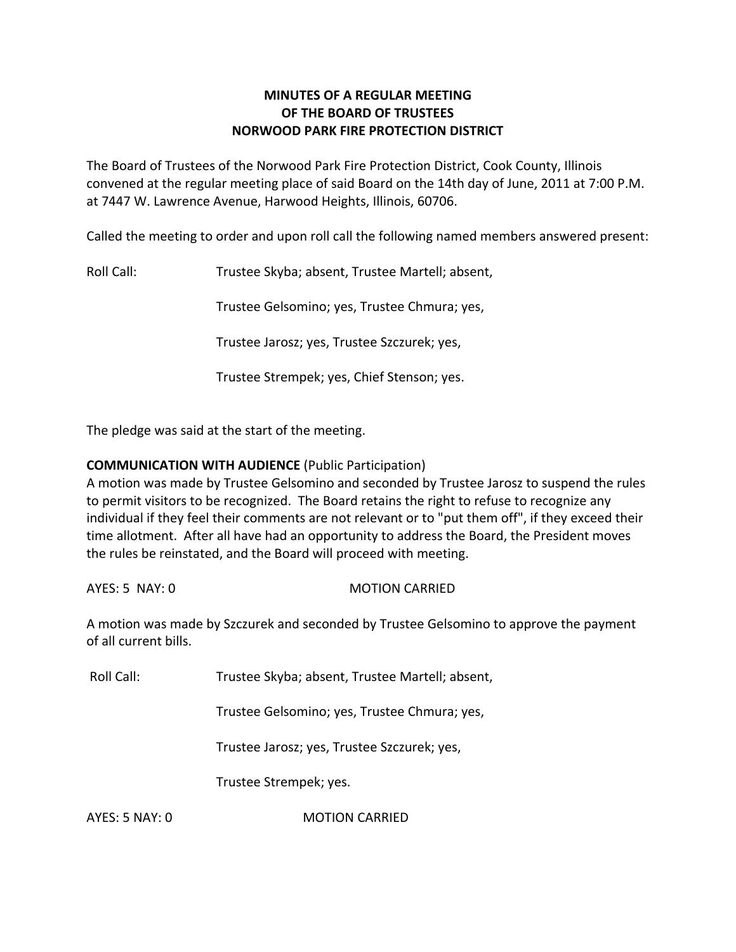# **MINUTES OF A REGULAR MEETING OF THE BOARD OF TRUSTEES NORWOOD PARK FIRE PROTECTION DISTRICT**

The Board of Trustees of the Norwood Park Fire Protection District, Cook County, Illinois convened at the regular meeting place of said Board on the 14th day of June, 2011 at 7:00 P.M. at 7447 W. Lawrence Avenue, Harwood Heights, Illinois, 60706.

Called the meeting to order and upon roll call the following named members answered present:

Roll Call: Trustee Skyba; absent, Trustee Martell; absent,

Trustee Gelsomino; yes, Trustee Chmura; yes,

Trustee Jarosz; yes, Trustee Szczurek; yes,

Trustee Strempek; yes, Chief Stenson; yes.

The pledge was said at the start of the meeting.

## **COMMUNICATION WITH AUDIENCE** (Public Participation)

A motion was made by Trustee Gelsomino and seconded by Trustee Jarosz to suspend the rules to permit visitors to be recognized. The Board retains the right to refuse to recognize any individual if they feel their comments are not relevant or to "put them off", if they exceed their time allotment. After all have had an opportunity to address the Board, the President moves the rules be reinstated, and the Board will proceed with meeting.

AYES: 5 NAY: 0 MOTION CARRIED

A motion was made by Szczurek and seconded by Trustee Gelsomino to approve the payment of all current bills.

Roll Call: Trustee Skyba; absent, Trustee Martell; absent,

Trustee Gelsomino; yes, Trustee Chmura; yes,

Trustee Jarosz; yes, Trustee Szczurek; yes,

Trustee Strempek; yes.

AYES: 5 NAY: 0 **MOTION CARRIED**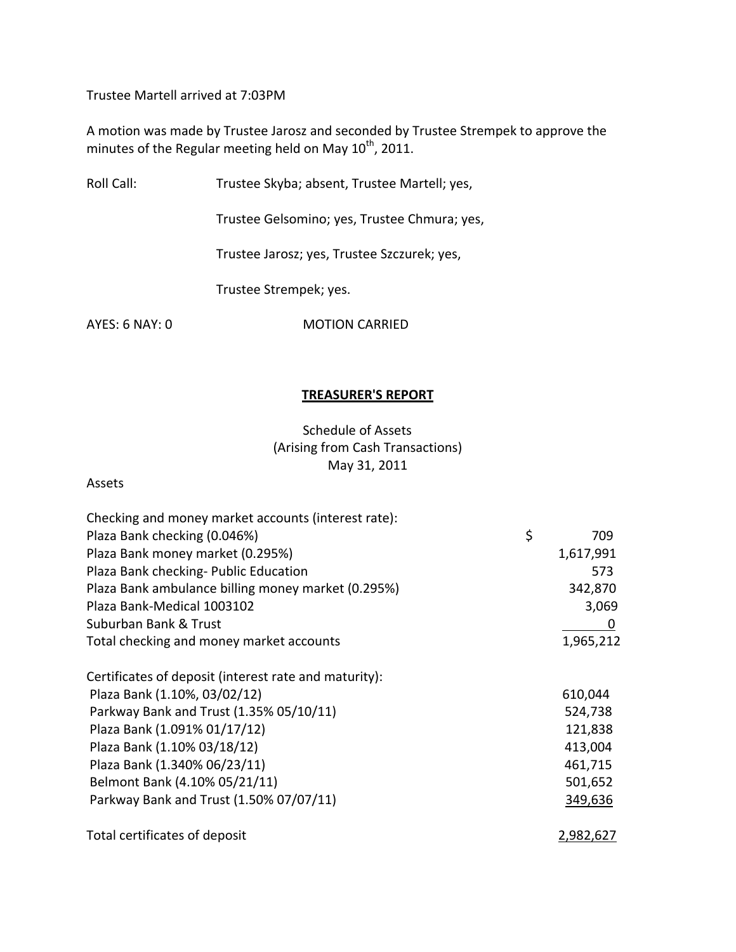Trustee Martell arrived at 7:03PM

A motion was made by Trustee Jarosz and seconded by Trustee Strempek to approve the minutes of the Regular meeting held on May 10<sup>th</sup>, 2011.

Roll Call: Trustee Skyba; absent, Trustee Martell; yes,

Trustee Gelsomino; yes, Trustee Chmura; yes,

Trustee Jarosz; yes, Trustee Szczurek; yes,

Trustee Strempek; yes.

AYES: 6 NAY: 0 MOTION CARRIED

### **TREASURER'S REPORT**

Schedule of Assets (Arising from Cash Transactions) May 31, 2011

### Assets

| Checking and money market accounts (interest rate):   |                  |
|-------------------------------------------------------|------------------|
| Plaza Bank checking (0.046%)                          | \$<br>709        |
| Plaza Bank money market (0.295%)                      | 1,617,991        |
| Plaza Bank checking- Public Education                 | 573              |
| Plaza Bank ambulance billing money market (0.295%)    | 342,870          |
| Plaza Bank-Medical 1003102                            | 3,069            |
| Suburban Bank & Trust                                 | $\boldsymbol{0}$ |
| Total checking and money market accounts              | 1,965,212        |
| Certificates of deposit (interest rate and maturity): |                  |
| Plaza Bank (1.10%, 03/02/12)                          | 610,044          |
| Parkway Bank and Trust (1.35% 05/10/11)               | 524,738          |
| Plaza Bank (1.091% 01/17/12)                          | 121,838          |
| Plaza Bank (1.10% 03/18/12)                           | 413,004          |
| Plaza Bank (1.340% 06/23/11)                          | 461,715          |
| Belmont Bank (4.10% 05/21/11)                         | 501,652          |
| Parkway Bank and Trust (1.50% 07/07/11)               | 349,636          |
| Total certificates of deposit                         | 2,982,627        |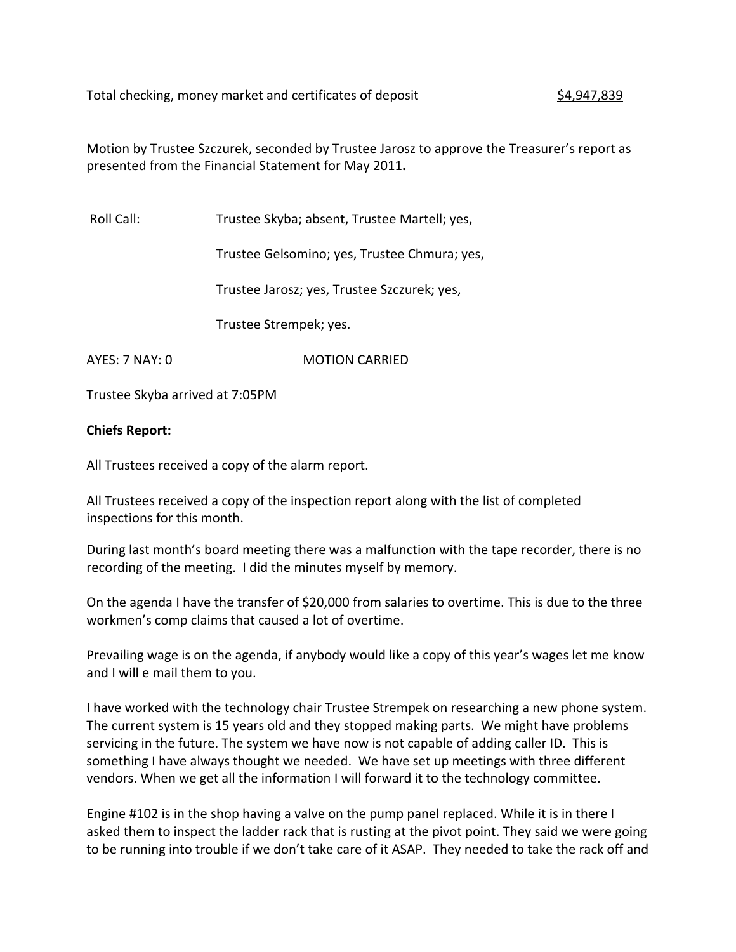Total checking, money market and certificates of deposit  $\frac{\$4,947,839}{\$}$ 

Motion by Trustee Szczurek, seconded by Trustee Jarosz to approve the Treasurer's report as presented from the Financial Statement for May 2011**.**

Roll Call: Trustee Skyba; absent, Trustee Martell; yes,

Trustee Gelsomino; yes, Trustee Chmura; yes,

Trustee Jarosz; yes, Trustee Szczurek; yes,

Trustee Strempek; yes.

AYES: 7 NAY: 0 **MOTION CARRIED** 

Trustee Skyba arrived at 7:05PM

### **Chiefs Report:**

All Trustees received a copy of the alarm report.

All Trustees received a copy of the inspection report along with the list of completed inspections for this month.

During last month's board meeting there was a malfunction with the tape recorder, there is no recording of the meeting. I did the minutes myself by memory.

On the agenda I have the transfer of \$20,000 from salaries to overtime. This is due to the three workmen's comp claims that caused a lot of overtime.

Prevailing wage is on the agenda, if anybody would like a copy of this year's wages let me know and I will e mail them to you.

I have worked with the technology chair Trustee Strempek on researching a new phone system. The current system is 15 years old and they stopped making parts. We might have problems servicing in the future. The system we have now is not capable of adding caller ID. This is something I have always thought we needed. We have set up meetings with three different vendors. When we get all the information I will forward it to the technology committee.

Engine #102 is in the shop having a valve on the pump panel replaced. While it is in there I asked them to inspect the ladder rack that is rusting at the pivot point. They said we were going to be running into trouble if we don't take care of it ASAP. They needed to take the rack off and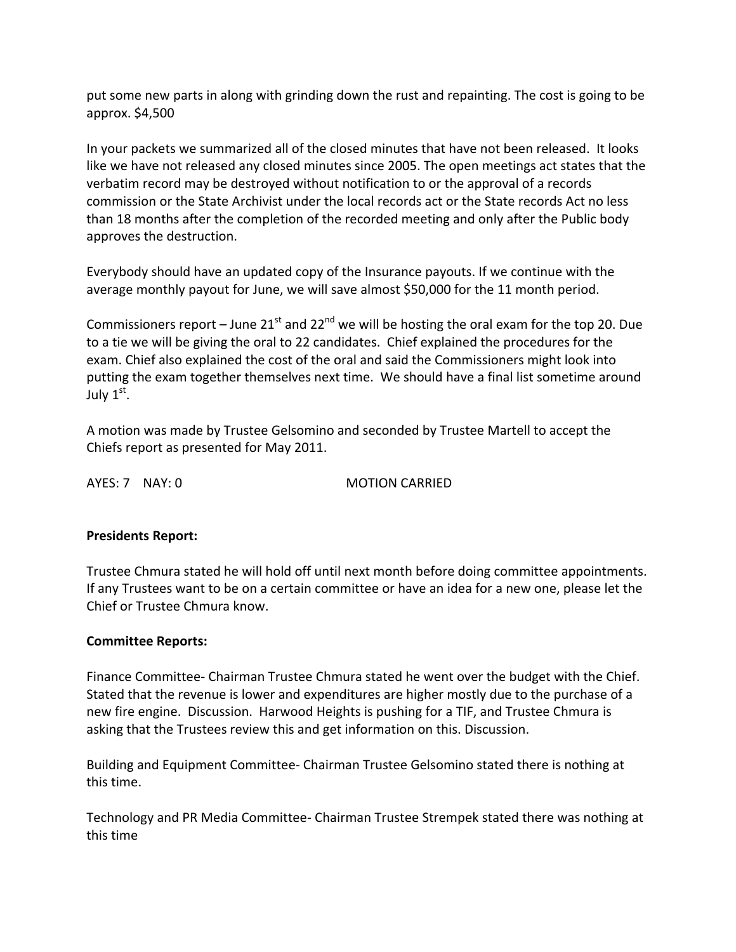put some new parts in along with grinding down the rust and repainting. The cost is going to be approx. \$4,500

In your packets we summarized all of the closed minutes that have not been released. It looks like we have not released any closed minutes since 2005. The open meetings act states that the verbatim record may be destroyed without notification to or the approval of a records commission or the State Archivist under the local records act or the State records Act no less than 18 months after the completion of the recorded meeting and only after the Public body approves the destruction.

Everybody should have an updated copy of the Insurance payouts. If we continue with the average monthly payout for June, we will save almost \$50,000 for the 11 month period.

Commissioners report – June 21<sup>st</sup> and 22<sup>nd</sup> we will be hosting the oral exam for the top 20. Due to a tie we will be giving the oral to 22 candidates. Chief explained the procedures for the exam. Chief also explained the cost of the oral and said the Commissioners might look into putting the exam together themselves next time. We should have a final list sometime around July  $1^{\rm st}$ .

A motion was made by Trustee Gelsomino and seconded by Trustee Martell to accept the Chiefs report as presented for May 2011.

AYES: 7 NAY: 0 MOTION CARRIED

# **Presidents Report:**

Trustee Chmura stated he will hold off until next month before doing committee appointments. If any Trustees want to be on a certain committee or have an idea for a new one, please let the Chief or Trustee Chmura know.

## **Committee Reports:**

Finance Committee‐ Chairman Trustee Chmura stated he went over the budget with the Chief. Stated that the revenue is lower and expenditures are higher mostly due to the purchase of a new fire engine. Discussion. Harwood Heights is pushing for a TIF, and Trustee Chmura is asking that the Trustees review this and get information on this. Discussion.

Building and Equipment Committee‐ Chairman Trustee Gelsomino stated there is nothing at this time.

Technology and PR Media Committee‐ Chairman Trustee Strempek stated there was nothing at this time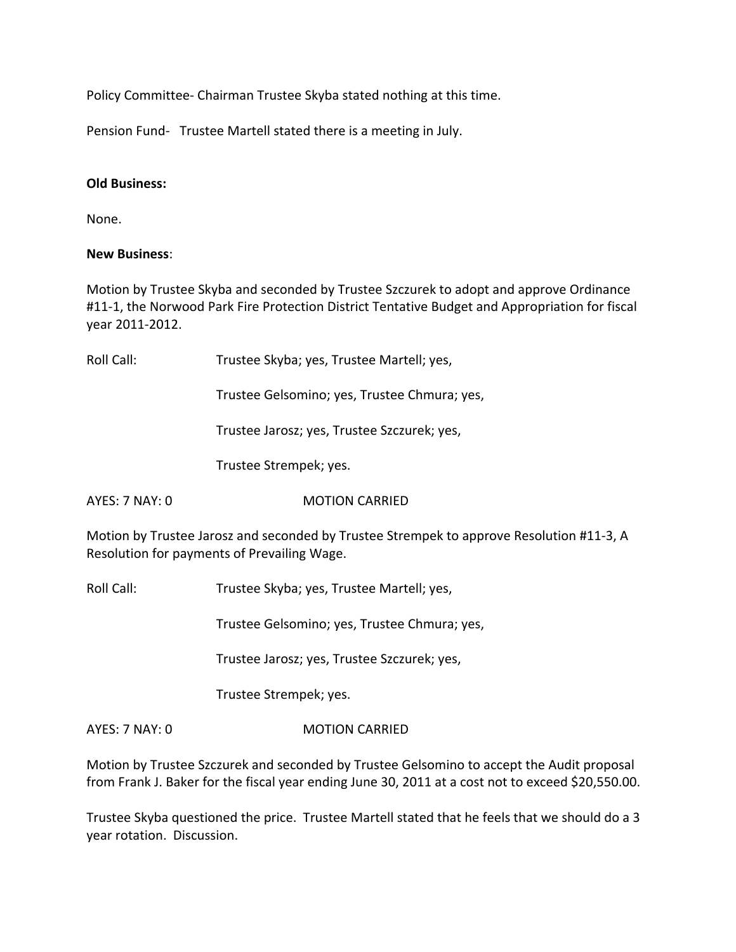Policy Committee‐ Chairman Trustee Skyba stated nothing at this time.

Pension Fund- Trustee Martell stated there is a meeting in July.

### **Old Business:**

None.

### **New Business**:

Motion by Trustee Skyba and seconded by Trustee Szczurek to adopt and approve Ordinance #11-1, the Norwood Park Fire Protection District Tentative Budget and Appropriation for fiscal year 2011‐2012.

| Roll Call:            | Trustee Skyba; yes, Trustee Martell; yes,                                                                                               |
|-----------------------|-----------------------------------------------------------------------------------------------------------------------------------------|
|                       | Trustee Gelsomino; yes, Trustee Chmura; yes,                                                                                            |
|                       | Trustee Jarosz; yes, Trustee Szczurek; yes,                                                                                             |
|                       | Trustee Strempek; yes.                                                                                                                  |
| <b>AYES: 7 NAY: 0</b> | <b>MOTION CARRIED</b>                                                                                                                   |
|                       | Motion by Trustee Jarosz and seconded by Trustee Strempek to approve Resolution #11-3, A<br>Resolution for payments of Prevailing Wage. |
| $D =   C =   $        | Taughan Clurko uga Taughan Mostalluwan                                                                                                  |

Roll Call: Trustee Skyba; yes, Trustee Martell; yes,

Trustee Gelsomino; yes, Trustee Chmura; yes,

Trustee Jarosz; yes, Trustee Szczurek; yes,

Trustee Strempek; yes.

AYES: 7 NAY: 0 **MOTION CARRIED** 

Motion by Trustee Szczurek and seconded by Trustee Gelsomino to accept the Audit proposal from Frank J. Baker for the fiscal year ending June 30, 2011 at a cost not to exceed \$20,550.00.

Trustee Skyba questioned the price. Trustee Martell stated that he feels that we should do a 3 year rotation. Discussion.